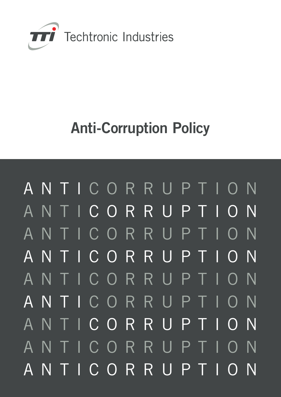

# Anti-Corruption Policy

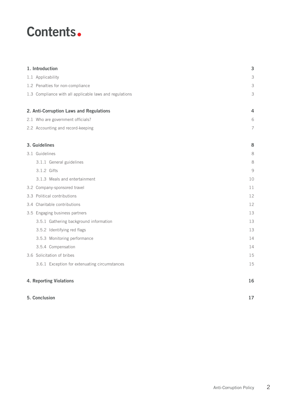### Contents.

| 1. Introduction                                         | 3              |
|---------------------------------------------------------|----------------|
| 1.1 Applicability                                       | 3              |
| 1.2 Penalties for non-compliance                        | 3              |
| 1.3 Compliance with all applicable laws and regulations | 3              |
| 2. Anti-Corruption Laws and Regulations                 | $\overline{4}$ |
| 2.1 Who are government officials?                       | 6              |
| 2.2 Accounting and record-keeping                       | 7              |
| 3. Guidelines                                           | 8              |
| 3.1 Guidelines                                          | 8              |
| 3.1.1 General guidelines                                | 8              |
| 3.1.2 Gifts                                             | 9              |
| 3.1.3 Meals and entertainment                           | 10             |
| 3.2 Company-sponsored travel                            | 11             |
| 3.3 Political contributions                             | 12             |
| 3.4 Charitable contributions                            | 12             |
| 3.5 Engaging business partners                          | 13             |
| 3.5.1 Gathering background information                  | 13             |
| 3.5.2 Identifying red flags                             | 13             |
| 3.5.3 Monitoring performance                            | 14             |
| 3.5.4 Compensation                                      | 14             |
| 3.6 Solicitation of bribes                              | 15             |
| 3.6.1 Exception for extenuating circumstances           | 15             |
| 4. Reporting Violations                                 | 16             |
| 5. Conclusion                                           | 17             |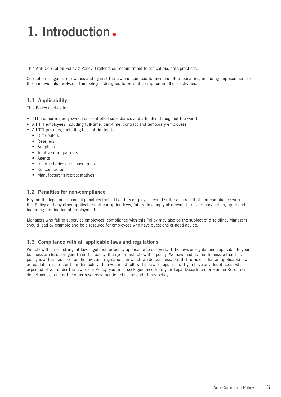## 1. Introduction.

This Anti-Corruption Policy ("Policy") reflects our commitment to ethical business practices.

Corruption is against our values and against the law and can lead to fines and other penalties, including imprisonment for those individuals involved. This policy is designed to prevent corruption in all our activities.

### 1.1 Applicability

This Policy applies to::

- TTI and our majority owned or -controlled subsidiaries and affiliates throughout the world
- All TTI employees including full-time, part-time, contract and temporary employees
- All TTI partners, including but not limited to:
	- Distributors
	- Resellers
	- Suppliers
	- Joint-venture partners
	- Agents
	- Intermediaries and consultants
	- Subcontractors
	- Manufacturer's representatives

#### 1.2 Penalties for non-compliance

Beyond the legal and financial penalties that TTI and its employees could suffer as a result of non-compliance with this Policy and any other applicable anti-corruption laws, failure to comply also result in disciplinary action, up to and including termination of employment.

Managers who fail to supervise employees' compliance with this Policy may also be the subject of discipline. Managers should lead by example and be a resource for employees who have questions or need advice.

### 1.3 Compliance with all applicable laws and regulations

We follow the most stringent law, regulation or policy applicable to our work. If the laws or regulations applicable to your business are less stringent than this policy, then you must follow this policy. We have endeavored to ensure that this policy is at least as strict as the laws and regulations in which we do business, but if it turns out that an applicable law or regulation is stricter than this policy, then you must follow that law or regulation. If you have any doubt about what is expected of you under the law or our Policy, you must seek guidance from your Legal Department or Human Resources department or one of the other resources mentioned at the end of this policy.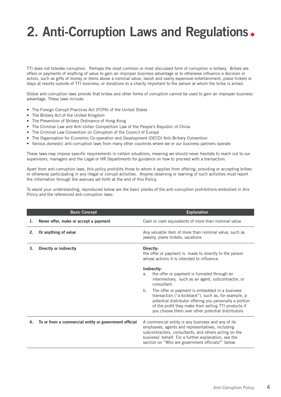## 2. Anti-Corruption Laws and Regulations •

TTI does not tolerate corruption. Perhaps the most common or most discussed form of corruption is bribery. Bribes are offers or payments of anything of value to gain an improper business advantage or to otherwise influence a decision or action, such as gifts of money or items above a nominal value, lavish and overly expensive entertainment, plane tickets or stays at resorts outside of TTI business, or donations to a charity important to the person at whom the bribe is aimed.

Global anti-corruption laws provide that bribes and other forms of corruption cannot be used to gain an improper business advantage. These laws include:

- The Foreign Corrupt Practices Act (FCPA) of the United States
- The Bribery Act of the United Kingdom
- The Prevention of Bribery Ordinance of Hong Kong
- The Criminal Law and Anti-Unfair Competition Law of the People's Republic of China
- The Criminal Law Convention on Corruption of the Council of Europe
- The Organisation for Economic Co-operation and Development (OECD) Anti-Bribery Convention
- Various domestic anti-corruption laws from many other countries where we or our business partners operate

These laws may impose specific requirements in certain situations, meaning we should never hesitate to reach out to our supervisors, managers and the Legal or HR Departments for guidance on how to proceed with a transaction.

Apart from anti-corruption laws, this policy prohibits those to whom it applies from offering, providing or accepting bribes or otherwise participating in any illegal or corrupt activities. Anyone observing or learning of such activities must report the information through the avenues set forth at the end of this Policy.

To assist your understanding, reproduced below are the basic planks of the anti-corruption prohibitions embodied in this Policy and the referenced anti-corruption laws:

|    | <b>Basic Concept</b>                                  | <b>Explanation</b>                                                                                                                                                                                                                                                                   |
|----|-------------------------------------------------------|--------------------------------------------------------------------------------------------------------------------------------------------------------------------------------------------------------------------------------------------------------------------------------------|
| 1. | Never offer, make or accept a payment                 | Cash or cash equivalents of more than nominal value                                                                                                                                                                                                                                  |
| 2. | Or anything of value                                  | Any valuable item of more than nominal value, such as<br>jewelry, plane tickets, vacations                                                                                                                                                                                           |
| 3. | Directly or indirectly                                | Directly:<br>the offer or payment is made to directly to the person<br>whose actions it is intended to influence.                                                                                                                                                                    |
|    |                                                       | Indirectly:<br>the offer or payment is funneled through an<br>a.<br>intermediary, such as an agent, subcontractor, or<br>consultant.                                                                                                                                                 |
|    |                                                       | The offer or payment is embedded in a business<br>b.<br>transaction ("a kickback"), such as, for example, a<br>potential distributor offering you personally a portion<br>of the profit they make from selling TTI products if<br>you choose them over other potential distributors. |
| 4. | To or from a commercial entity or government official | A commercial entity is any business and any of its<br>employees, agents and representatives, including<br>subcontractors, consultants, and others acting on the<br>business' behalf. For a further explanation, see the<br>section on "Who are government officials?" below.         |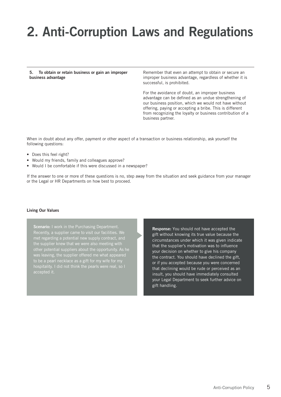## 2. Anti-Corruption Laws and Regulations

5. To obtain or retain business or gain an improper business advantage

Remember that even an attempt to obtain or secure an improper business advantage, regardless of whether it is successful, is prohibited.

For the avoidance of doubt, an improper business advantage can be defined as an undue strengthening of our business position, which we would not have without offering, paying or accepting a bribe. This is different from recognizing the loyalty or business contribution of a business partner.

When in doubt about any offer, payment or other aspect of a transaction or business relationship, ask yourself the following questions:

- Does this feel right?
- Would my friends, family and colleagues approve?
- Would I be comfortable if this were discussed in a newspaper?

If the answer to one or more of these questions is no, step away from the situation and seek guidance from your manager or the Legal or HR Departments on how best to proceed.

#### Living Our Values

Scenario: I work in the Purchasing Department. was leaving, the supplier offered me what appeared to be a pearl necklace as a gift for my wife for my accepted it.

Response: You should not have accepted the gift without knowing its true value because the circumstances under which it was given indicate that the supplier's motivation was to influence your decision on whether to give his company the contract. You should have declined the gift, or if you accepted because you were concerned that declining would be rude or perceived as an insult, you should have immediately consulted your Legal Department to seek further advice on gift handling.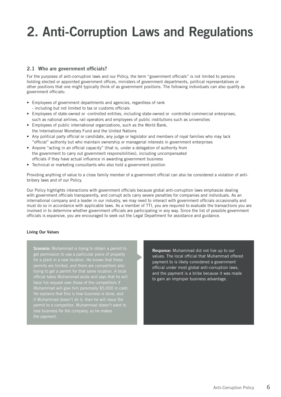## 2. Anti-Corruption Laws and Regulations

### 2.1 Who are government officials?

For the purposes of anti-corruption laws and our Policy, the term "government officials" is not limited to persons holding elected or appointed government offices, ministers of government departments, political representatives or other positions that one might typically think of as government positions. The following individuals can also qualify as government officials:

- Employees of government departments and agencies, regardless of rank - including but not limited to tax or customs officials
- Employees of state-owned or -controlled entities, including state-owned or -controlled commercial enterprises, such as national airlines, rail operators and employees of public institutions such as universities
- Employees of public international organizations, such as the World Bank, the International Monetary Fund and the United Nations
- Any political party official or candidate, any judge or legislator and members of royal families who may lack "official" authority but who maintain ownership or managerial interests in government enterprises
- Anyone "acting in an official capacity" (that is, under a delegation of authority from the government to carry out government responsibilities), including uncompensated officials if they have actual influence in awarding government business
- Technical or marketing consultants who also hold a government position

Providing anything of value to a close family member of a government official can also be considered a violation of antibribery laws and of our Policy.

Our Policy highlights interactions with government officials because global anti-corruption laws emphasize dealing with government officials transparently, and corrupt acts carry severe penalties for companies and individuals. As an international company and a leader in our industry, we may need to interact with government officials occasionally and must do so in accordance with applicable laws. As a member of TTI, you are required to evaluate the transactions you are involved in to determine whether government officials are participating in any way. Since the list of possible government officials is expansive, you are encouraged to seek out the Legal Department for assistance and guidance.

#### Living Our Values

Scenario: Muhammad is trying to obtain a permit to get permission to use a particular piece of property trying to get a permit for that same location. A local official takes Muhammad aside and says that he will favor his request over those of the competitors if Muhammad will give him personally \$5,000 in cash. He explains that this is how business is done, and

Response: Muhammad did not live up to our values. The local official that Muhammad offered payment to is likely considered a government official under most global anti-corruption laws, and the payment is a bribe because it was made to gain an improper business advantage.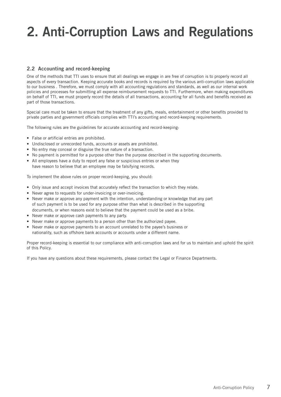## 2. Anti-Corruption Laws and Regulations

### 2.2 Accounting and record-keeping

One of the methods that TTI uses to ensure that all dealings we engage in are free of corruption is to properly record all aspects of every transaction. Keeping accurate books and records is required by the various anti-corruption laws applicable to our business . Therefore, we must comply with all accounting regulations and standards, as well as our internal work policies and processes for submitting all expense reimbursement requests to TTI. Furthermore, when making expenditures on behalf of TTI, we must properly record the details of all transactions, accounting for all funds and benefits received as part of those transactions.

Special care must be taken to ensure that the treatment of any gifts, meals, entertainment or other benefits provided to private parties and government officials complies with TTI's accounting and record-keeping requirements.

The following rules are the guidelines for accurate accounting and record-keeping:

- False or artificial entries are prohibited.
- Undisclosed or unrecorded funds, accounts or assets are prohibited.
- No entry may conceal or disguise the true nature of a transaction.
- No payment is permitted for a purpose other than the purpose described in the supporting documents.
- All employees have a duty to report any false or suspicious entries or when they have reason to believe that an employee may be falsifying records.

To implement the above rules on proper record-keeping, you should:

- Only issue and accept invoices that accurately reflect the transaction to which they relate.
- Never agree to requests for under-invoicing or over-invoicing.
- Never make or approve any payment with the intention, understanding or knowledge that any part of such payment is to be used for any purpose other than what is described in the supporting documents, or when reasons exist to believe that the payment could be used as a bribe.
- Never make or approve cash payments to any party.
- Never make or approve payments to a person other than the authorized payee.
- Never make or approve payments to an account unrelated to the payee's business or nationality, such as offshore bank accounts or accounts under a different name.

Proper record-keeping is essential to our compliance with anti-corruption laws and for us to maintain and uphold the spirit of this Policy.

If you have any questions about these requirements, please contact the Legal or Finance Departments.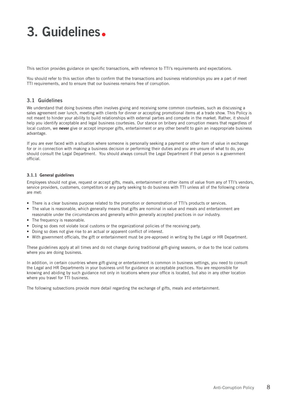This section provides guidance on specific transactions, with reference to TTI's requirements and expectations.

You should refer to this section often to confirm that the transactions and business relationships you are a part of meet TTI requirements, and to ensure that our business remains free of corruption.

### 3.1 Guidelines

We understand that doing business often involves giving and receiving some common courtesies, such as discussing a sales agreement over lunch, meeting with clients for dinner or accepting promotional items at a trade show. This Policy is not meant to hinder your ability to build relationships with external parties and compete in the market. Rather, it should help you identify acceptable and legal business courtesies. Our stance on bribery and corruption means that regardless of local custom, we never give or accept improper gifts, entertainment or any other benefit to gain an inappropriate business advantage.

If you are ever faced with a situation where someone is personally seeking a payment or other item of value in exchange for or in connection with making a business decision or performing their duties and you are unsure of what to do, you should consult the Legal Department. You should always consult the Legal Department if that person is a government official.

#### 3.1.1 General guidelines

Employees should not give, request or accept gifts, meals, entertainment or other items of value from any of TTI's vendors, service providers, customers, competitors or any party seeking to do business with TTI unless all of the following criteria are met:

- There is a clear business purpose related to the promotion or demonstration of TTI's products or services.
- The value is reasonable, which generally means that gifts are nominal in value and meals and entertainment are reasonable under the circumstances and generally within generally accepted practices in our industry.
- The frequency is reasonable.
- Doing so does not violate local customs or the organizational policies of the receiving party.
- Doing so does not give rise to an actual or apparent conflict of interest.
- With government officials, the gift or entertainment must be pre-approved in writing by the Legal or HR Department.

These guidelines apply at all times and do not change during traditional gift-giving seasons, or due to the local customs where you are doing business.

In addition, in certain countries where gift-giving or entertainment is common in business settings, you need to consult the Legal and HR Departments in your business unit for guidance on acceptable practices. You are responsible for knowing and abiding by such guidance not only in locations where your office is located, but also in any other location where you travel for TTI business.

The following subsections provide more detail regarding the exchange of gifts, meals and entertainment.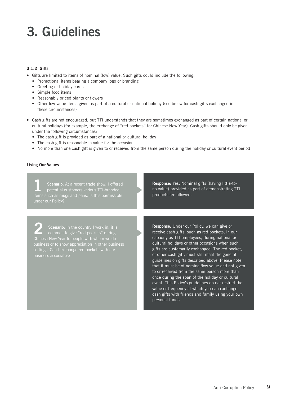#### 3.1.2 Gifts

- Gifts are limited to items of nominal (low) value. Such gifts could include the following:
	- Promotional items bearing a company logo or branding
	- Greeting or holiday cards
	- Simple food items
	- Reasonably priced plants or flowers
	- Other low-value items given as part of a cultural or national holiday (see below for cash gifts exchanged in these circumstances)
- Cash gifts are not encouraged, but TTI understands that they are sometimes exchanged as part of certain national or cultural holidays (for example, the exchange of "red pockets" for Chinese New Year). Cash gifts should only be given under the following circumstances:
	- The cash gift is provided as part of a national or cultural holiday
	- The cash gift is reasonable in value for the occasion
	- No more than one cash gift is given to or received from the same person during the holiday or cultural event period

#### Living Our Values

Scenario: At a recent trade show, I offered potential customers various TTI-branded

Response: Yes. Nominal gifts (having little-tono value) provided as part of demonstrating TTI products are allowed.

Scenario: In the country I work in, it is<br>
common to give "red pockets" during settings. Can I exchange red pockets with our business associates?

Response: Under our Policy, we can give or receive cash gifts, such as red pockets, in our capacity as TTI employees, during national or cultural holidays or other occasions when such gifts are customarily exchanged. The red pocket, or other cash gift, must still meet the general guidelines on gifts described above. Please note that it must be of nominal/low value and not given to or received from the same person more than once during the span of the holiday or cultural event. This Policy's guidelines do not restrict the value or frequency at which you can exchange cash gifts with friends and family using your own personal funds.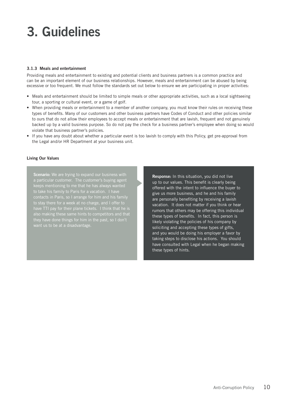#### 3.1.3 Meals and entertainment

Providing meals and entertainment to existing and potential clients and business partners is a common practice and can be an important element of our business relationships. However, meals and entertainment can be abused by being excessive or too frequent. We must follow the standards set out below to ensure we are participating in proper activities:

- Meals and entertainment should be limited to simple meals or other appropriate activities, such as a local sightseeing tour, a sporting or cultural event, or a game of golf.
- When providing meals or entertainment to a member of another company, you must know their rules on receiving these types of benefits. Many of our customers and other business partners have Codes of Conduct and other policies similar to ours that do not allow their employees to accept meals or entertainment that are lavish, frequent and not genuinely backed up by a valid business purpose. So do not pay the check for a business partner's employee when doing so would violate that business partner's policies.
- If you have any doubt about whether a particular event is too lavish to comply with this Policy, get pre-approval from the Legal and/or HR Department at your business unit.

#### Living Our Values

Scenario: We are trying to expand our business with contacts in Paris, so I arrange for him and his family to stay there for a week at no charge, and I offer to have TTI pay for their plane tickets. I think that he is also making these same hints to competitors and that they have done things for him in the past, so I don't want us to be at a disadvantage.

Response: In this situation, you did not live up to our values. This benefit is clearly being offered with the intent to influence the buyer to give us more business, and he and his family are personally benefiting by receiving a lavish vacation. It does not matter if you think or hear rumors that others may be offering this individual these types of benefits. In fact, this person is likely violating the policies of his company by soliciting and accepting these types of gifts, and you would be doing his employer a favor by taking steps to disclose his actions. You should have consulted with Legal when he began making these types of hints.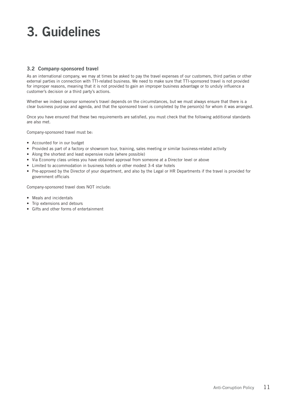### 3.2 Company-sponsored travel

As an international company, we may at times be asked to pay the travel expenses of our customers, third parties or other external parties in connection with TTI-related business. We need to make sure that TTI-sponsored travel is not provided for improper reasons, meaning that it is not provided to gain an improper business advantage or to unduly influence a customer's decision or a third party's actions.

Whether we indeed sponsor someone's travel depends on the circumstances, but we must always ensure that there is a clear business purpose and agenda, and that the sponsored travel is completed by the person(s) for whom it was arranged.

Once you have ensured that these two requirements are satisfied, you must check that the following additional standards are also met.

Company-sponsored travel must be:

- Accounted for in our budget
- Provided as part of a factory or showroom tour, training, sales meeting or similar business-related activity
- Along the shortest and least expensive route (where possible)
- Via Economy class unless you have obtained approval from someone at a Director level or above
- Limited to accommodation in business hotels or other modest 3-4 star hotels
- Pre-approved by the Director of your department, and also by the Legal or HR Departments if the travel is provided for government officials

Company-sponsored travel does NOT include:

- Meals and incidentals
- Trip extensions and detours
- Gifts and other forms of entertainment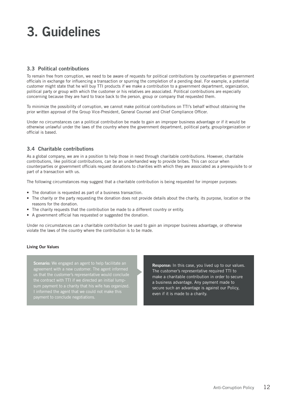### 3.3 Political contributions

To remain free from corruption, we need to be aware of requests for political contributions by counterparties or government officials in exchange for influencing a transaction or spurring the completion of a pending deal. For example, a potential customer might state that he will buy TTI products if we make a contribution to a government department, organization, political party or group with which the customer or his relatives are associated. Political contributions are especially concerning because they are hard to trace back to the person, group or company that requested them.

To minimize the possibility of corruption, we cannot make political contributions on TTI's behalf without obtaining the prior written approval of the Group Vice-President, General Counsel and Chief Compliance Officer.

Under no circumstances can a political contribution be made to gain an improper business advantage or if it would be otherwise unlawful under the laws of the country where the government department, political party, group/organization or official is based.

### 3.4 Charitable contributions

As a global company, we are in a position to help those in need through charitable contributions. However, charitable contributions, like political contributions, can be an underhanded way to provide bribes. This can occur when counterparties or government officials request donations to charities with which they are associated as a prerequisite to or part of a transaction with us.

The following circumstances may suggest that a charitable contribution is being requested for improper purposes:

- The donation is requested as part of a business transaction.
- The charity or the party requesting the donation does not provide details about the charity, its purpose, location or the reasons for the donation.
- The charity requests that the contribution be made to a different country or entity.
- A government official has requested or suggested the donation.

Under no circumstances can a charitable contribution be used to gain an improper business advantage, or otherwise violate the laws of the country where the contribution is to be made.

#### Living Our Values

Scenario: We engaged an agent to help facilitate an agreement with a new customer. The agent informed the contract with TTI if we directed an initial lumppayment to conclude negotiations.

Response: In this case, you lived up to our values. The customer's representative required TTI to make a charitable contribution in order to secure a business advantage. Any payment made to secure such an advantage is against our Policy, even if it is made to a charity.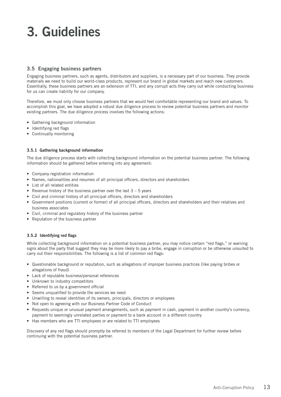### 3.5 Engaging business partners

Engaging business partners, such as agents, distributors and suppliers, is a necessary part of our business. They provide materials we need to build our world-class products, represent our brand in global markets and reach new customers. Essentially, these business partners are an extension of TTI, and any corrupt acts they carry out while conducting business for us can create liability for our company.

Therefore, we must only choose business partners that we would feel comfortable representing our brand and values. To accomplish this goal, we have adopted a robust due diligence process to review potential business partners and monitor existing partners. The due diligence process involves the following actions:

- Gathering background information
- Identifying red flags
- Continually monitoring

#### 3.5.1 Gathering background information

The due diligence process starts with collecting background information on the potential business partner. The following information should be gathered before entering into any agreement:

- Company registration information
- Names, nationalities and resumes of all principal officers, directors and shareholders
- List of all related entities
- Revenue history of the business partner over the last  $3 5$  years
- Civil and criminal history of all principal officers, directors and shareholders
- Government positions (current or former) of all principal officers, directors and shareholders and their relatives and business associates
- Civil, criminal and regulatory history of the business partner
- Reputation of the business partner

#### 3.5.2 Identifying red flags

While collecting background information on a potential business partner, you may notice certain "red flags," or warning signs about the party that suggest they may be more likely to pay a bribe, engage in corruption or be otherwise unsuited to carry out their responsibilities. The following is a list of common red flags:

- Questionable background or reputation, such as allegations of improper business practices (like paying bribes or allegations of fraud)
- Lack of reputable business/personal references
- Unknown to industry competitors
- Referred to us by a government official
- Seems unqualified to provide the services we need
- Unwilling to reveal identities of its owners, principals, directors or employees
- Not open to agreeing with our Business Partner Code of Conduct
- Requests unique or unusual payment arrangements, such as payment in cash, payment in another country's currency, payment to seemingly unrelated parties or payment to a bank account in a different country
- Has members who are TTI employees or are related to TTI employees

Discovery of any red flags should promptly be referred to members of the Legal Department for further review before continuing with the potential business partner.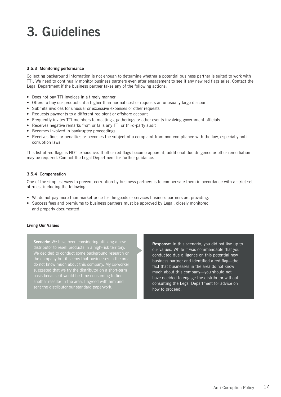#### 3.5.3 Monitoring performance

Collecting background information is not enough to determine whether a potential business partner is suited to work with TTI. We need to continually monitor business partners even after engagement to see if any new red flags arise. Contact the Legal Department if the business partner takes any of the following actions:

- Does not pay TTI invoices in a timely manner
- Offers to buy our products at a higher-than-normal cost or requests an unusually large discount
- Submits invoices for unusual or excessive expenses or other requests
- Requests payments to a different recipient or offshore account
- Frequently invites TTI members to meetings, gatherings or other events involving government officials
- Receives negative remarks from or fails any TTI or third-party audit
- Becomes involved in bankruptcy proceedings
- Receives fines or penalties or becomes the subject of a complaint from non-compliance with the law, especially anticorruption laws

This list of red flags is NOT exhaustive. If other red flags become apparent, additional due diligence or other remediation may be required. Contact the Legal Department for further guidance.

#### 3.5.4 Compensation

One of the simplest ways to prevent corruption by business partners is to compensate them in accordance with a strict set of rules, including the following:

- We do not pay more than market price for the goods or services business partners are providing.
- Success fees and premiums to business partners must be approved by Legal, closely monitored and properly documented.

#### Living Our Values

Scenario: We have been considering utilizing a new distributor to resell products in a high-risk territory. We decided to conduct some background research on do not know much about this company. My co-worker suggested that we try the distributor on a short-term another reseller in the area. I agreed with him and sent the distributor our standard paperwork.

Response: In this scenario, you did not live up to our values. While it was commendable that you conducted due diligence on this potential new business partner and identified a red flag—the fact that businesses in the area do not know much about this company—you should not have decided to engage the distributor without consulting the Legal Department for advice on how to proceed.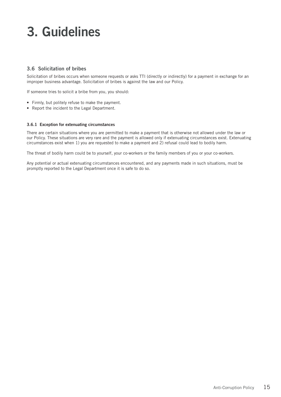### 3.6 Solicitation of bribes

Solicitation of bribes occurs when someone requests or asks TTI (directly or indirectly) for a payment in exchange for an improper business advantage. Solicitation of bribes is against the law and our Policy.

If someone tries to solicit a bribe from you, you should:

- Firmly, but politely refuse to make the payment.
- Report the incident to the Legal Department.

#### 3.6.1 Exception for extenuating circumstances

There are certain situations where you are permitted to make a payment that is otherwise not allowed under the law or our Policy. These situations are very rare and the payment is allowed only if extenuating circumstances exist. Extenuating circumstances exist when 1) you are requested to make a payment and 2) refusal could lead to bodily harm.

The threat of bodily harm could be to yourself, your co-workers or the family members of you or your co-workers.

Any potential or actual extenuating circumstances encountered, and any payments made in such situations, must be promptly reported to the Legal Department once it is safe to do so.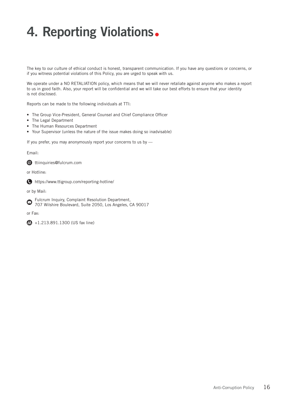## 4. Reporting Violations.

The key to our culture of ethical conduct is honest, transparent communication. If you have any questions or concerns, or if you witness potential violations of this Policy, you are urged to speak with us.

We operate under a NO RETALIATION policy, which means that we will never retaliate against anyone who makes a report to us in good faith. Also, your report will be confidential and we will take our best efforts to ensure that your identity is not disclosed.

Reports can be made to the following individuals at TTI:

- The Group Vice-President, General Counsel and Chief Compliance Officer
- The Legal Department
- The Human Resources Department
- Your Supervisor (unless the nature of the issue makes doing so inadvisable)

If you prefer, you may anonymously report your concerns to us by —

Email:

**ttiinquiries@fulcrum.com** 

or Hotline:

https://www.ttigroup.com/reporting-hotline/

or by Mail:

Fulcrum Inquiry, Complaint Resolution Department,  $\bullet$ 707 Wilshire Boulevard, Suite 2050, Los Angeles, CA 90017

or Fax:

**图** +1.213.891.1300 (US fax line)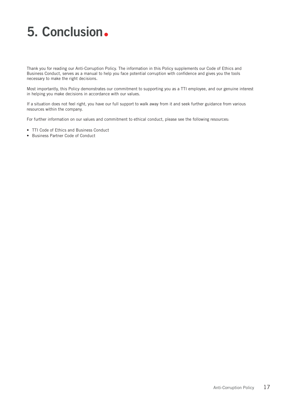## 5. Conclusion.

Thank you for reading our Anti-Corruption Policy. The information in this Policy supplements our Code of Ethics and Business Conduct, serves as a manual to help you face potential corruption with confidence and gives you the tools necessary to make the right decisions.

Most importantly, this Policy demonstrates our commitment to supporting you as a TTI employee, and our genuine interest in helping you make decisions in accordance with our values.

If a situation does not feel right, you have our full support to walk away from it and seek further guidance from various resources within the company.

For further information on our values and commitment to ethical conduct, please see the following resources:

- TTI Code of Ethics and Business Conduct
- Business Partner Code of Conduct